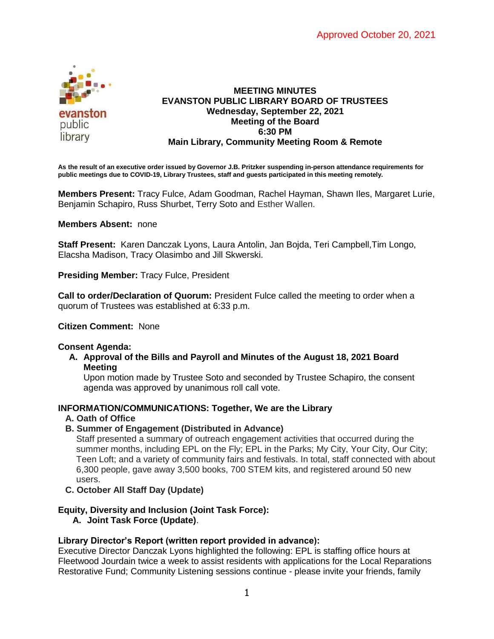

### **MEETING MINUTES EVANSTON PUBLIC LIBRARY BOARD OF TRUSTEES Wednesday, September 22, 2021 Meeting of the Board 6:30 PM Main Library, Community Meeting Room & Remote**

**As the result of an executive order issued by Governor J.B. Pritzker suspending in-person attendance requirements for public meetings due to COVID-19, Library Trustees, staff and guests participated in this meeting remotely.**

**Members Present:** Tracy Fulce, Adam Goodman, Rachel Hayman, Shawn Iles, Margaret Lurie, Benjamin Schapiro, Russ Shurbet, Terry Soto and Esther Wallen.

### **Members Absent:** none

**Staff Present:** Karen Danczak Lyons, Laura Antolin, Jan Bojda, Teri Campbell,Tim Longo, Elacsha Madison, Tracy Olasimbo and Jill Skwerski.

**Presiding Member:** Tracy Fulce, President

**Call to order/Declaration of Quorum:** President Fulce called the meeting to order when a quorum of Trustees was established at 6:33 p.m.

# **Citizen Comment:** None

### **Consent Agenda:**

**A. Approval of the Bills and Payroll and Minutes of the August 18, 2021 Board Meeting**

Upon motion made by Trustee Soto and seconded by Trustee Schapiro, the consent agenda was approved by unanimous roll call vote.

# **INFORMATION/COMMUNICATIONS: Together, We are the Library**

### **A. Oath of Office**

**B. Summer of Engagement (Distributed in Advance)**

Staff presented a summary of outreach engagement activities that occurred during the summer months, including EPL on the Fly; EPL in the Parks; My City, Your City, Our City; Teen Loft; and a variety of community fairs and festivals. In total, staff connected with about 6,300 people, gave away 3,500 books, 700 STEM kits, and registered around 50 new users.

**C. October All Staff Day (Update)**

# **Equity, Diversity and Inclusion (Joint Task Force):**

**A. Joint Task Force (Update)**.

# **Library Director's Report (written report provided in advance):**

Executive Director Danczak Lyons highlighted the following: EPL is staffing office hours at Fleetwood Jourdain twice a week to assist residents with applications for the Local Reparations Restorative Fund; Community Listening sessions continue - please invite your friends, family